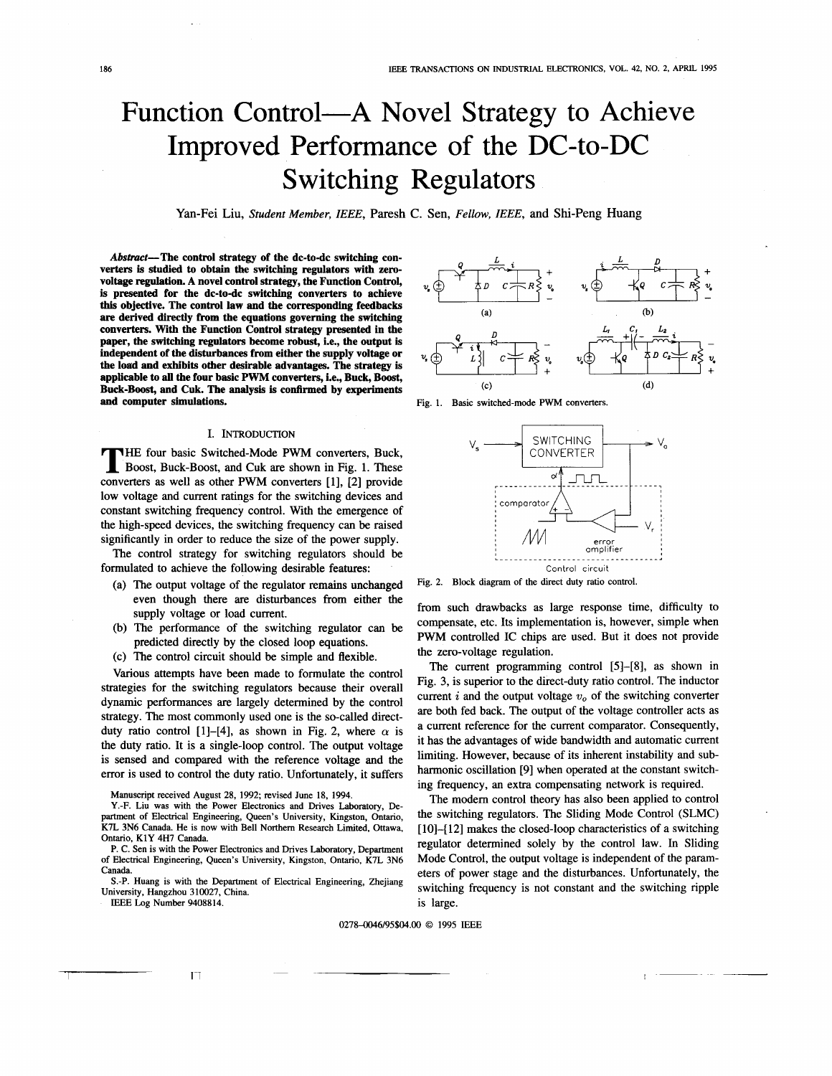# Function Control—A Novel Strategy to Achieve Improved Performance of the DC-to-DC Switching Regulators

**Yan-Fei Liu,** Student Member, IEEE, Paresh C. Sen, Fellow, IEEE, and Shi-Peng Huang

Abstract—The control strategy of the dc-to-dc switching converters is studied to obtain the switching regulators with zerovoltage regulation. A novel control strategy, the Function Control, is presented for the dc-to-dc switching converters to achieve **this objective. The control law and the corresponding feedbacks are derived directly from the equations governing the switching**  paper, the switching regulators become robust, i.e., the output is independent of the disturbances from either the supply voltage or the **load and exhibits other desirable advantages. The strategy is applicable to** all **the four basic PWM converters, i.e., Buck, Boost, and computer simulations. Fig. 1. Basic switched-mode PWM converters.** converters. With the Function Control strategy presented in the applicable to all the four basic F with converters, i.e., Buck, Boost,  $(4)$ <br>Buck-Boost, and Cuk. The analysis is confirmed by experiments  $(5)$ 

#### I. INTRODUCTION

**HE four basic Switched-Mode PWM converters, Buck, Boost, Buck-Boost, and Cuk are shown in Fig. 1. These** converters as well as other **PWM** converters [l], [2] provide low voltage and current ratings for the switching devices and constant switching frequency control. With the emergence of the high-speed devices, the switching frequency can be raised significantly in order to reduce the size of the power supply.

The control strategy for switching regulators should be formulated to achieve the following desirable features:

- (a) The output voltage of the regulator remains unchanged even though there are disturbances from either the supply voltage or load current.
- (b) The performance of the switching regulator can be predicted directly by the closed loop equations.
- (c) The control circuit should be simple and flexible.

Various attempts have been made to formulate the control strategies for the switching regulators because their overall dynamic performances are largely determined by the control strategy. The most commonly used one is the so-called directduty ratio control [1]-[4], as shown in Fig. 2, where  $\alpha$  is the duty ratio. It is a single-loop control. The output voltage is sensed and compared with the reference voltage and the error is used to control the duty ratio. Unfortunately, it suffers

Manuscript received August 28, 1992; revised June 18, 1994.





Fig. 2. Block diagram of the direct duty ratio control.

from such drawbacks as large response time, difficulty to compensate, etc. Its implementation is, however, simple when **PWM** controlled IC chips are used. But it does not provide the zero-voltage regulation.

The current programming control [5]-[8], as shown in Fig. 3, is superior to the direct-duty ratio control. The inductor current *i* and the output voltage  $v<sub>o</sub>$  of the switching converter are both fed back. The output of the voltage controller acts as a current reference for the current comparator. Consequently, it has the advantages of wide bandwidth and automatic current limiting. However, because of its inherent instability and subharmonic oscillation [9] when operated at the constant switching frequency, an extra compensating network is required.

The modem control theory has also been applied to control the switching regulators. The Sliding Mode Control (SLMC) [10]-[12] makes the closed-loop characteristics of a switching regulator determined solely by the control law. In Sliding Mode Control, the output voltage is independent of the parameters of power stage and the disturbances. Unfortunately, the switching frequency is not constant and the switching ripple is large.

#### 02784)046/95\$04.00 *0* 1995 IEEE

Y.-F. Liu was with the Power Electronics and Drives Laboratory, Department of Electrical Engineering, Queen's University, Kingston, Ontario, K7L 3N6 Canada. He is now with Bell Northem Research Limited, Ottawa, Ontario, K1Y 4H7 Canada.

P. C. Sen is with the Power Electronics and Drives Laboratory, Department of Electrical Engineering, Queen's University, Kingston, Ontario, K7L 3N6 Canada.

University, Hangzhou 310027, China. S.-P. Huang is with the Department of Electrical Engineering, Zhejiang

IEEE Log Number 9408814.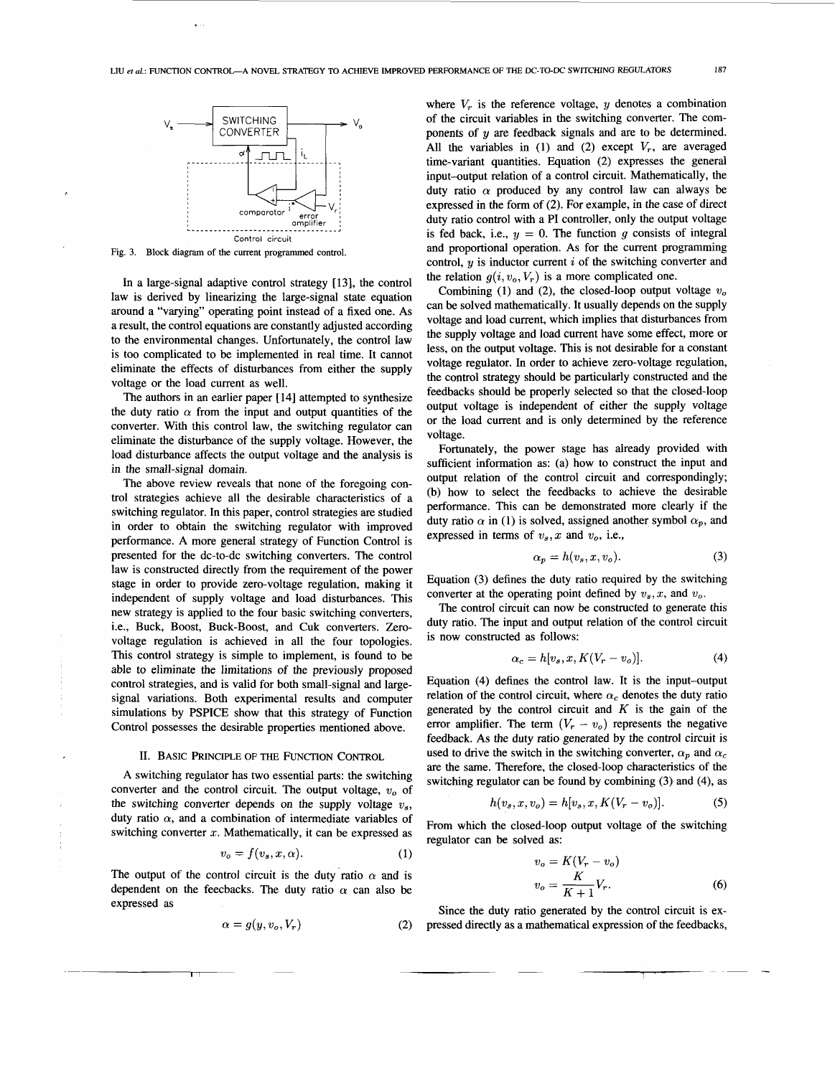

**Fig. 3. Block diagram** of **the current programmed** control.

In a large-signal adaptive control strategy [13], the control law is derived by linearizing the large-signal state equation around a "varying" operating point instead of a fixed one. As a result, the control equations are constantly adjusted according to the environmental changes. Unfortunately, the control law is too complicated to be implemented in real time. It cannot eliminate the effects of disturbances from either the supply voltage or the load current as well.

The authors in an earlier paper [14] attempted to synthesize the duty ratio  $\alpha$  from the input and output quantities of the converter. With this control law, the switching regulator can eliminate the disturbance of the supply voltage. However, the load disturbance affects the output voltage and the analysis is in the small-signal domain.

The above review reveals that none of the foregoing control strategies achieve all the desirable characteristics of a switching regulator. In this paper, control strategies are studied in order to obtain the switching regulator with improved performance. A more general strategy of Function Control is presented for the dc-to-dc switching converters. The control law is constructed directly from the requirement of the power stage in order to provide zero-voltage regulation, making it independent of supply voltage and load disturbances. This new strategy is applied to the four basic switching converters, i.e., Buck, Boost, Buck-Boost, and Cuk converters. Zerovoltage regulation is achieved in all the four topologies. This control strategy is simple to implement, is found to be able to eliminate the limitations of the previously proposed control strategies, and is valid for both small-signal and largesignal variations. Both experimental results and computer simulations by PSPICE show that this strategy of Function Control possesses the desirable properties mentioned above.

#### 11. BASIC PRINCIPLE OF THE FUNCTION CONTROL

A switching regulator has two essential parts: the switching converter and the control circuit. The output voltage, *w,* of the switching converter depends on the supply voltage *vs,*  duty ratio  $\alpha$ , and a combination of intermediate variables of switching converter *2.* Mathematically, it can be expressed as

$$
v_o = f(v_s, x, \alpha). \tag{1}
$$

The output of the control circuit is the duty ratio  $\alpha$  and is dependent on the feecbacks. The duty ratio  $\alpha$  can also be expressed as

$$
\alpha = g(y, v_o, V_r) \tag{2}
$$

where  $V_r$  is the reference voltage, y denotes a combination of the circuit variables in the switching converter. The components of **y** are feedback signals and are to be determined. All the variables in  $(1)$  and  $(2)$  except  $V_r$ , are averaged time-variant quantities. Equation (2) expresses the general input-output relation of a control circuit. Mathematically, the duty ratio  $\alpha$  produced by any control law can always be expressed in the form of (2). For example, in the case of direct duty ratio control with a PI controller, only the output voltage is fed back, i.e.,  $y = 0$ . The function *g* consists of integral and proportional operation. As for the current programming control, y is inductor current *i* of the switching converter and the relation  $q(i, v_0, V_r)$  is a more complicated one.

Combining (1) and (2), the closed-loop output voltage  $v<sub>o</sub>$ can be solved mathematically. It usually depends on the supply voltage and load current, which implies that disturbances from the supply voltage and load current have some effect, more or less, on the output voltage. This is not desirable for a constant voltage regulator. In order to achieve zero-voltage regulation, the control strategy should be particularly constructed and the feedbacks should be properly selected so that the closed-loop output voltage is independent of either the supply voltage or the load current and is only determined by the reference voltage.

Fortunately, the power stage has already provided with sufficient information as: (a) how to construct the input and output relation of the control circuit and correspondingly; (b) how to select the feedbacks to achieve the desirable performance. This can be demonstrated more clearly if the duty ratio  $\alpha$  in (1) is solved, assigned another symbol  $\alpha_p$ , and expressed in terms of  $v_s$ , x and  $v_o$ , i.e.,

$$
\alpha_p = h(v_s, x, v_o). \tag{3}
$$

Equation (3) defines the duty ratio required by the switching converter at the operating point defined by  $v_s$ ,  $x$ , and  $v_o$ .

The control circuit can now be constructed to generate this duty ratio. The input and output relation of the control circuit is now constructed as follows:

$$
\alpha_c = h[v_s, x, K(V_r - v_o)]. \tag{4}
$$

Equation (4) defines the control law. It is the input-output relation of the control circuit, where  $\alpha_c$  denotes the duty ratio generated by the control circuit and  $K$  is the gain of the error amplifier. The term  $(V_r - v_o)$  represents the negative feedback. As the duty ratio generated by the control circuit is used to drive the switch in the switching converter,  $\alpha_p$  and  $\alpha_c$ are the same. Therefore, the closed-loop characteristics of the switching regulator can be found by combining (3) and (4), as

$$
h(v_s, x, v_o) = h[v_s, x, K(V_r - v_o)].
$$
 (5)

From which the closed-loop output voltage of the switching regulator can be solved as:

$$
v_o) = h[v_s, x, K(V_r - v_o)].
$$
 (5)  
ed-loop output voltage of the switching  
red as:  

$$
v_o = K(V_r - v_o)
$$

$$
v_o = \frac{K}{K+1}V_r.
$$
 (6)  
o connected by the control circuit is ex

Since the duty ratio generated by the control circuit is expressed directly as a mathematical expression of the feedbacks,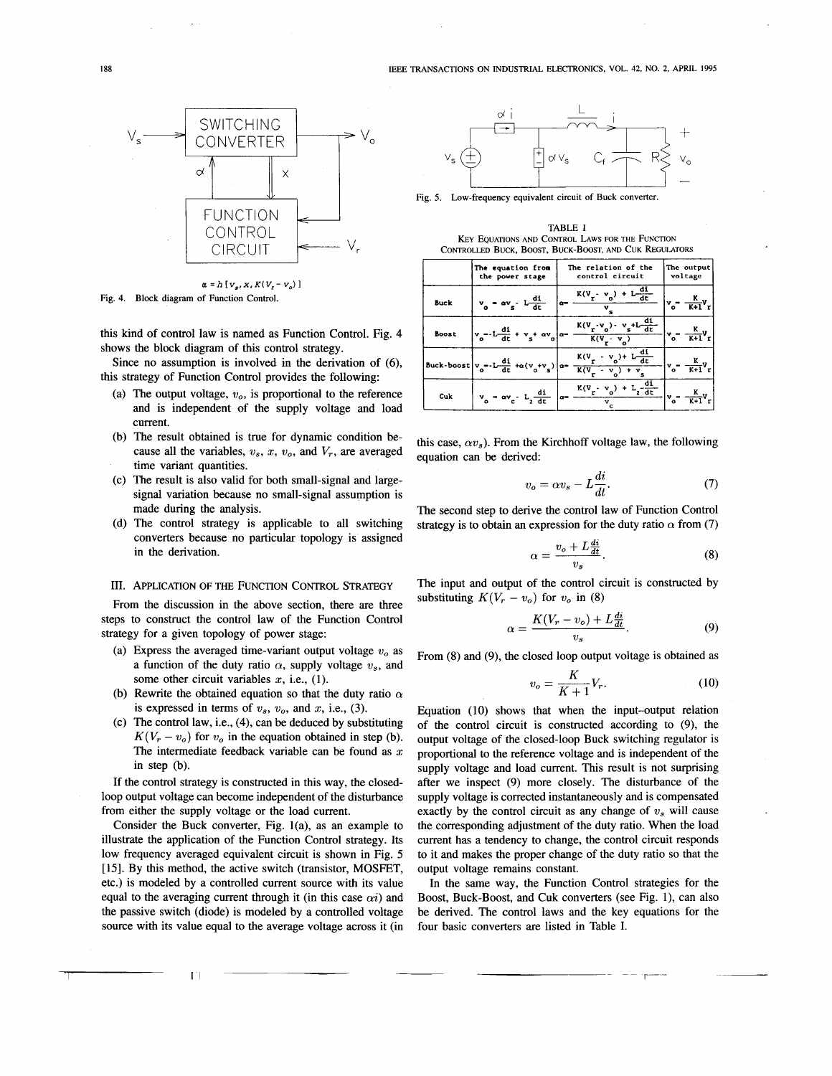

 $\alpha = h[v_{\alpha}, x, K(V, -v_{\alpha})]$ Fig. **4.** Block diagram of Function Control.

this kind of control law is named as Function Control. Fig. 4 shows the block diagram of this control strategy.

Since no assumption is involved in the derivation of *(6),*  this strategy of Function Control provides the following:

- (a) The output voltage,  $v<sub>o</sub>$ , is proportional to the reference and is independent of the supply voltage and load current.
- (b) The result obtained is true for dynamic condition be-<br>cause all the variables,  $v_s$ ,  $x$ ,  $v_o$ , and  $V_r$ , are averaged constitution and beginned. time variant quantities.
- signal variation because no small-signal assumption is made during the analysis. (c) The result is also valid for both small-signal and large-
- (d) The control strategy is applicable to all switching converters because no particular topology is assigned  $\alpha = \frac{v_o + L \frac{di}{dt}}{\alpha}$

## III. APPLICATION OF THE FUNCTION CONTROL STRATEGY

From the discussion in the above section. there are three steps to construct the control law of the Function Control strategy for a given topology of power stage:

- (a) Express the averaged time-variant output voltage  $v<sub>o</sub>$  as a function of the duty ratio  $\alpha$ , supply voltage  $v_s$ , and some other circuit variables *x,* i.e., (1).
- (b) Rewrite the obtained equation so that the duty ratio  $\alpha$ is expressed in terms of  $v_s$ ,  $v_o$ , and  $x$ , i.e., (3).
- (c) The control law, i.e., (4), can be deduced by substituting  $K(V_r - v_o)$  for  $v_o$  in the equation obtained in step (b). The intermediate feedback variable can be found as  $x$ in step (b).

If the control strategy is constructed in this way, the closedloop output voltage can become independent of the disturbance from either the supply voltage or the load current.

Consider the Buck converter, Fig. l(a), as an example to illustrate the application of the Function Control strategy. Its low frequency averaged equivalent circuit is shown in Fig. 5 [ **151.** By this method, the active switch (transistor, MOSFET, etc.) is modeled by a controlled current source with its value equal to the averaging current through it (in this case  $\alpha i$ ) and the passive switch (diode) is modeled by a controlled voltage source with its value equal to the average voltage across it (in

 $\mathbf{E}$ 



Fig. *5.* Low-frequency equivalent circuit of Buck converter

TABLE I **KEY** EQUATTONS AND CONTROL LAWS FOR THE FUNCTION CONTROLLED BUCK, BOOST, BUCK-BOOST, AND CUK REGULATORS

|       | The equation from<br>the power stage                                                                  | The relation of the<br>control circuit                              | The output<br>voltage                                                                |
|-------|-------------------------------------------------------------------------------------------------------|---------------------------------------------------------------------|--------------------------------------------------------------------------------------|
| Buck  | $\mathbf{v}_0 = \alpha \mathbf{v}_s - \mathbf{L} \frac{\mathrm{d} \mathbf{i}}{\mathrm{d} \mathbf{t}}$ | $a = \frac{K(V_r \cdot v_o) + L \frac{di}{dt}}{T}$                  | $\Big  \mathbf{v_o}^{\bullet\bullet} \ \frac{\mathbf{K}}{\mathbf{K+1}} \mathbf{V_r}$ |
| Boost | $\left v_o - L \frac{di}{dt} + v_s + \alpha v_o \right  \alpha -$                                     | $\frac{K(V_r \cdot v_o) \cdot v_s + L \frac{di}{dt}}{K(V_s - V_s)}$ | $\frac{K}{K+1}v_r$<br>$\bullet$                                                      |
|       | Buck-boost $v_o = -L \frac{di}{dt} + \alpha (v_o + v_g) \Big  a$                                      | $K(V_r - v_0) + L \frac{di}{dt}$<br>$K(V_r - V_o)$<br>$+ v$         | $ v_o - \frac{K}{K+1}v_r $                                                           |
| Cuk   | $= \alpha v_c \cdot L_2 \frac{di}{dt}$<br>$\mathbf{v}_{\mathbf{a}}$                                   | $K(V_r - V_o) + L_2 - \frac{di}{dt}$<br>$\alpha-$                   |                                                                                      |

equation can be derived:

$$
v_o = \alpha v_s - L\frac{di}{dt}.\tag{7}
$$

The second step to derive the control law of Function Control strategy is to obtain an expression for the duty ratio  $\alpha$  from (7)

$$
\alpha = \frac{v_o + L\frac{di}{dt}}{v_s}.\tag{8}
$$

The input and output of the control circuit is constructed by substituting  $K(V_r - v_o)$  for  $v_o$  in (8)

$$
-v_o) \text{ for } v_o \text{ in (8)}
$$
\n
$$
\alpha = \frac{K(V_r - v_o) + L\frac{di}{dt}}{v_s}.
$$
\n(9)

\nthe closed loop output voltage is obtained as

\n
$$
v_o = \frac{K}{K+1}V_r.
$$
\n(10)

From (8) and **(9),** the closed loop output voltage is obtained as

$$
v_o = \frac{K}{K+1} V_r. \tag{10}
$$

Equation (10) shows that when the input-output relation of the control circuit is constructed according to **(9),** the output voltage of the closed-loop Buck switching regulator is proportional to the reference voltage and is independent of the supply voltage and load current. This result is not surprising after we inspect (9) more closely. The disturbance of the supply voltage is corrected instantaneously and is compensated exactly by the control circuit as any change of  $v_s$  will cause the corresponding adjustment of the duty ratio. When the load current has a tendency to change, the control circuit responds to it and makes the proper change of the duty ratio so that the output voltage remains constant.

In the same way, the Function Control strategies for the Boost, Buck-Boost, and Cuk converters (see Fig. l), can also be derived. The control laws and the key equations for the four basic converters are listed in Table **I.**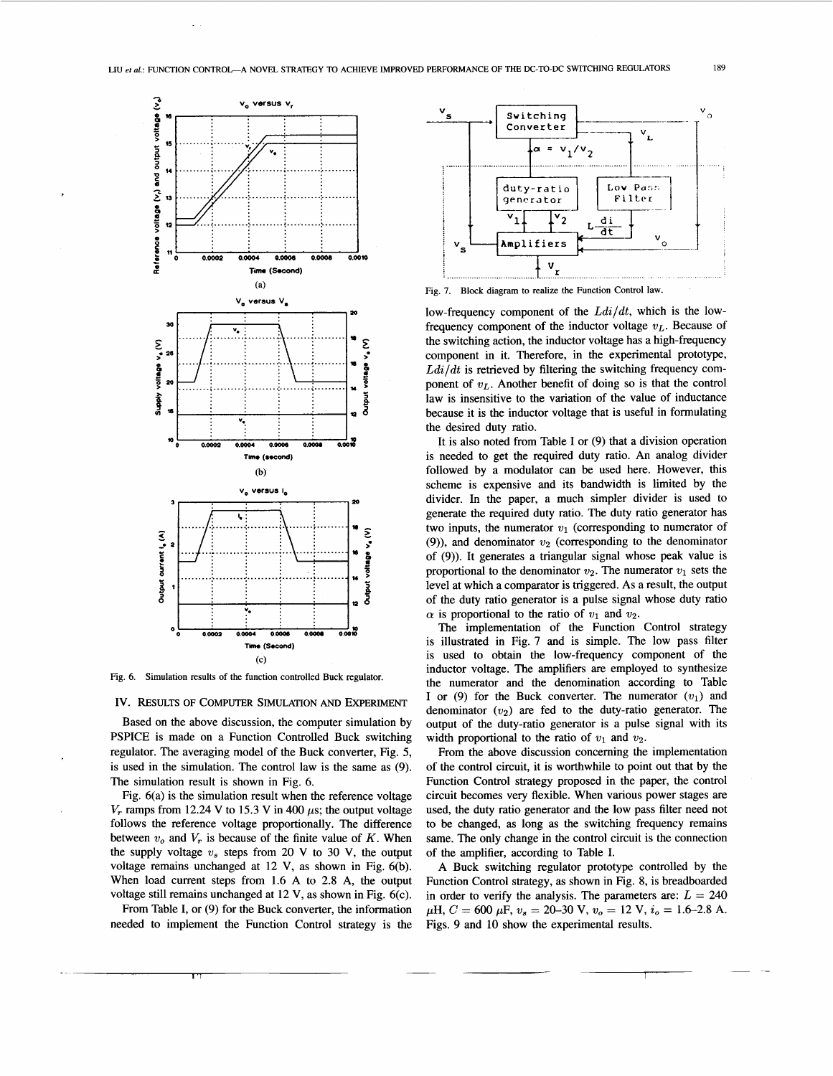

Fig. 6. Simulation results of the function controlled Buck regulator.

IV. RESULTS OF COMPUTER SIMULATION AND EXPERIMENT

Based on the above discussion, the computer simulation by PSPICE is made on a Function Controlled Buck switching regulator. The averaging model of the Buck converter, Fig. 5, is used in the simulation. The control law is the same as (9). The simulation result is shown in Fig. 6.

Fig.  $6(a)$  is the simulation result when the reference voltage  $V_r$  ramps from 12.24 V to 15.3 V in 400  $\mu$ s; the output voltage follows the reference voltage proportionally. The difference between  $v_o$  and  $V_r$  is because of the finite value of K. When the supply voltage  $v_s$  steps from 20 V to 30 V, the output voltage remains unchanged at 12 V, as shown in Fig. 6(b). When load current steps from 1.6 A to 2.8 A, the output voltage still remains unchanged at 12 V, as shown in Fig. 6(c).

From Table I, or (9) for the Buck converter, the information needed to implement the Function Control strategy is the



low-frequency component of the  $Ldi/dt$ , which is the lowfrequency component of the inductor voltage  $v<sub>L</sub>$ . Because of the switching action, the inductor voltage has a high-frequency component in it. Therefore, in the experimental prototype,  $Ldi/dt$  is retrieved by filtering the switching frequency component of  $v_L$ . Another benefit of doing so is that the control law is insensitive to the variation of the value of inductance because it is the inductor voltage that is useful in formulating the desired duty ratio.

It is also noted from Table I or  $(9)$  that a division operation is needed to get the required duty ratio. An analog divider followed by a modulator can be used here. However, this scheme is expensive and its bandwidth is limited by the divider. In the paper, a much simpler divider is used to generate the required duty ratio. The duty ratio generator has two inputs, the numerator  $v_1$  (corresponding to numerator of (9)), and denominator  $v_2$  (corresponding to the denominator of (9)). It generates a triangular signal whose peak value is proportional to the denominator  $v_2$ . The numerator  $v_1$  sets the level at which a comparator is triggered. As a result, the output of the duty ratio generator is a pulse signal whose duty ratio  $\alpha$  is proportional to the ratio of  $v_1$  and  $v_2$ .

The implementation of the Function Control strategy is illustrated in Fig. 7 and is simple. The low pass filter is used to obtain the low-frequency component of the inductor voltage. The amplifiers are employed to synthesize the numerator and the denomination according to Table I or (9) for the Buck converter. The numerator  $(v_1)$  and denominator  $(v_2)$  are fed to the duty-ratio generator. The output of the duty-ratio generator is a pulse signal with its width proportional to the ratio of  $v_1$  and  $v_2$ .

From the above discussion concerning the implementation of the control circuit, it is worthwhile to point out that by the Function Control strategy proposed in the paper, the control circuit becomes very flexible. When various power stages are used, the duty ratio generator and the low pass filter need not to be changed, as long as the switching frequency remains same. The only change in the control circuit is the connection of the amplifier, according to Table I.

A Buck switching regulator prototype controlled by the Function Control strategy, as shown in Fig. 8, is breadboarded in order to verify the analysis. The parameters are:  $L = 240$  $\mu$ H,  $C = 600 \mu$ F,  $v_s = 20-30 \text{ V}$ ,  $v_o = 12 \text{ V}$ ,  $i_o = 1.6-2.8 \text{ A}$ . Figs. 9 and 10 show the experimental results.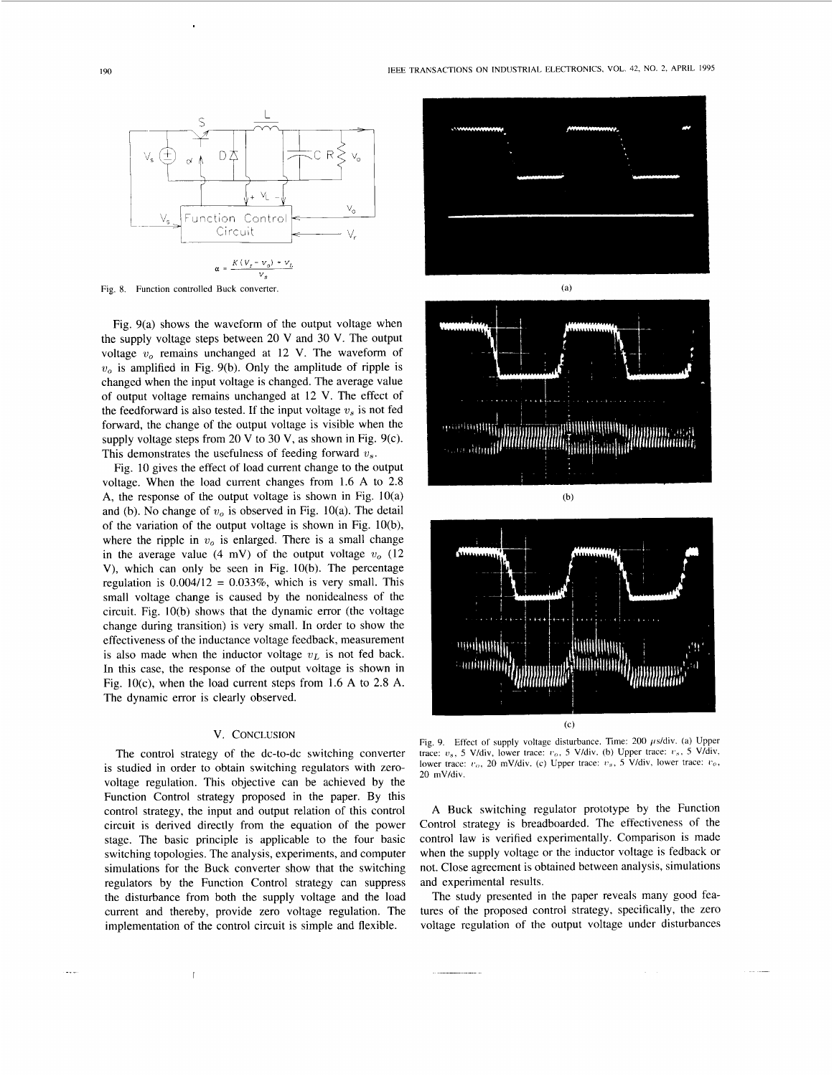<span id="page-4-0"></span>

Fig. 8. Function controlled Buck converter. (a) (a)

Fig. 9(a) shows the waveform of the output voltage when the supply voltage steps between 20 V and 30 V. The output voltage  $v<sub>o</sub>$  remains unchanged at 12 V. The waveform of  $v<sub>o</sub>$  is amplified in Fig. 9(b). Only the amplitude of ripple is changed when the input voltage is changed. The average value of output voltage remains unchanged at 12 V. The effect of the feedforward is also tested. If the input voltage  $v<sub>s</sub>$  is not fed forward, the change of the output voltage is visible when the supply voltage steps from 20 V to 30 V, as shown in Fig. 9(c). This demonstrates the usefulness of feeding forward *'us.* 

Fig. 10 gives the effect of load current change to the output voltage. When the load current changes from 1.6 **A** to 2.8 **A,** the response of the output voltage is shown in Fig. 10(a) and (b). No change of  $v<sub>o</sub>$  is observed in Fig. 10(a). The detail of the variation of the output voltage is shown in Fig. 10(b), where the ripple in  $v<sub>o</sub>$  is enlarged. There is a small change in the average value (4 mV) of the output voltage  $v_o$  (12 V), which can only be seen in Fig. 10(b). The percentage regulation is  $0.004/12 = 0.033\%$ , which is very small. This small voltage change is caused by the nonidealness of the circuit. Fig. 10(b) shows that the dynamic error (the voltage change during transition) is very small. In order to show the effectiveness of the inductance voltage feedback, measurement is also made when the inductor voltage  $v<sub>L</sub>$  is not fed back. In this case, the response of the output voltage is shown in Fig. 1O(c), when the load current steps from 1.6 **A** to 2.8 **A.**  The dynamic error is clearly observed.

# V. CONCLUSION

The control strategy of the dc-to-dc switching converter is studied in order to obtain switching regulators with zerovoltage regulation. This objective can be achieved by the Function Control strategy proposed in the paper. By this control strategy, the input and output relation of this control circuit is derived directly from the equation of the power stage. The basic principle is applicable to the four basic switching topologies. The analysis, experiments, and computer simulations for the Buck converter show that the switching regulators by the Function Control strategy can suppress the disturbance from both the supply voltage and the load current and thereby, provide zero voltage regulation. The implementation of the control circuit is simple and flexible.

 $\overline{1}$ 







Fig. 9. Effect of supply voltage disturbance. Time: 200  $\mu$ s/div. (a) Upper trace:  $v_s$ , *5 V/div*, lower trace:  $v_o$ , *5 V/div.* (b) Upper trace:  $v_s$ , *5 V/div*, lower trace:  $v_o$ , 20 mV/div. (c) Upper trace:  $v_s$ , 5 V/div, lower trace:  $v_o$ , 20 mV/div.

**A** Buck switching regulator prototype by the Function Control strategy is breadboarded. The effectiveness of the control law is verified experimentally. Comparison is made when the supply voltage or the inductor voltage is fedback or not. Close agreement is obtained between analysis, simulations and experimental results.

The study presented in the paper reveals many good features of the proposed control strategy, specifically, the zero voltage regulation of the output voltage under disturbances